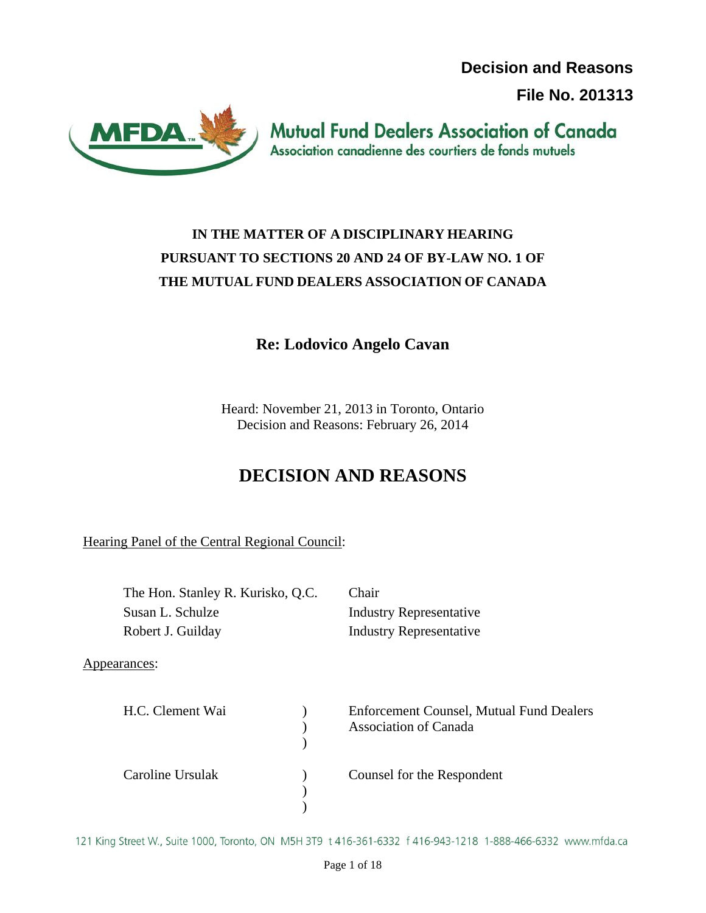**Decision and Reasons** 

**File No. 201313**



**Mutual Fund Dealers Association of Canada** Association canadienne des courtiers de fonds mutuels

# **IN THE MATTER OF A DISCIPLINARY HEARING PURSUANT TO SECTIONS 20 AND 24 OF BY-LAW NO. 1 OF THE MUTUAL FUND DEALERS ASSOCIATION OF CANADA**

# **Re: Lodovico Angelo Cavan**

Heard: November 21, 2013 in Toronto, Ontario Decision and Reasons: February 26, 2014

# **DECISION AND REASONS**

Hearing Panel of the Central Regional Council:

| The Hon. Stanley R. Kurisko, Q.C.<br>Susan L. Schulze |  | Chair<br><b>Industry Representative</b>                                         |
|-------------------------------------------------------|--|---------------------------------------------------------------------------------|
|                                                       |  |                                                                                 |
| Appearances:                                          |  |                                                                                 |
| H.C. Clement Wai                                      |  | <b>Enforcement Counsel, Mutual Fund Dealers</b><br><b>Association of Canada</b> |
| Caroline Ursulak                                      |  | Counsel for the Respondent                                                      |

121 King Street W., Suite 1000, Toronto, ON M5H 3T9 t 416-361-6332 f 416-943-1218 1-888-466-6332 www.mfda.ca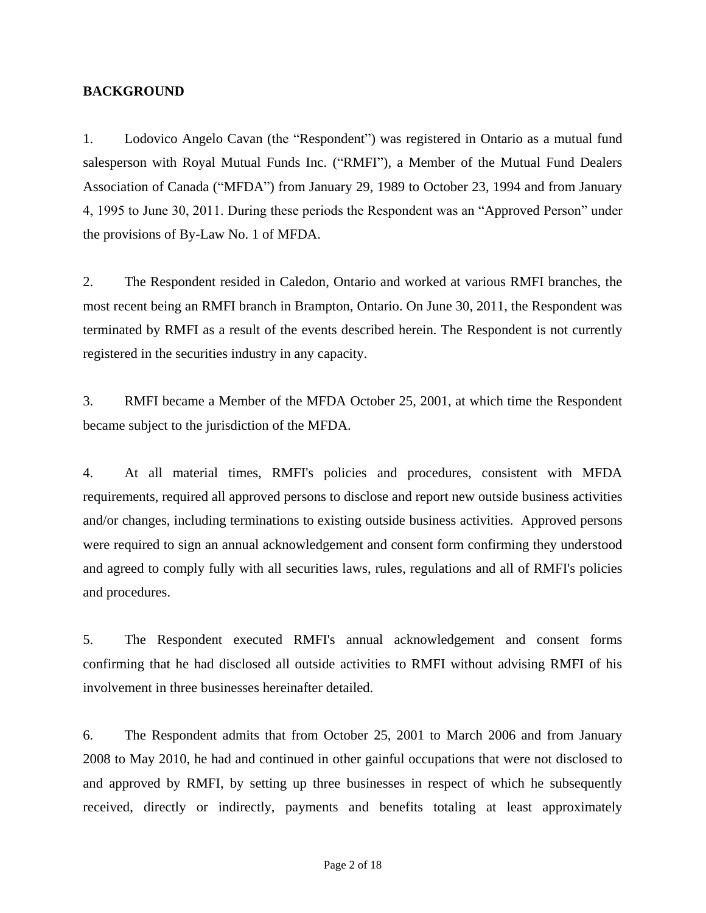#### **BACKGROUND**

1. Lodovico Angelo Cavan (the "Respondent") was registered in Ontario as a mutual fund salesperson with Royal Mutual Funds Inc. ("RMFI"), a Member of the Mutual Fund Dealers Association of Canada ("MFDA") from January 29, 1989 to October 23, 1994 and from January 4, 1995 to June 30, 2011. During these periods the Respondent was an "Approved Person" under the provisions of By-Law No. 1 of MFDA.

2. The Respondent resided in Caledon, Ontario and worked at various RMFI branches, the most recent being an RMFI branch in Brampton, Ontario. On June 30, 2011, the Respondent was terminated by RMFI as a result of the events described herein. The Respondent is not currently registered in the securities industry in any capacity.

3. RMFI became a Member of the MFDA October 25, 2001, at which time the Respondent became subject to the jurisdiction of the MFDA.

4. At all material times, RMFI's policies and procedures, consistent with MFDA requirements, required all approved persons to disclose and report new outside business activities and/or changes, including terminations to existing outside business activities. Approved persons were required to sign an annual acknowledgement and consent form confirming they understood and agreed to comply fully with all securities laws, rules, regulations and all of RMFI's policies and procedures.

5. The Respondent executed RMFI's annual acknowledgement and consent forms confirming that he had disclosed all outside activities to RMFI without advising RMFI of his involvement in three businesses hereinafter detailed.

6. The Respondent admits that from October 25, 2001 to March 2006 and from January 2008 to May 2010, he had and continued in other gainful occupations that were not disclosed to and approved by RMFI, by setting up three businesses in respect of which he subsequently received, directly or indirectly, payments and benefits totaling at least approximately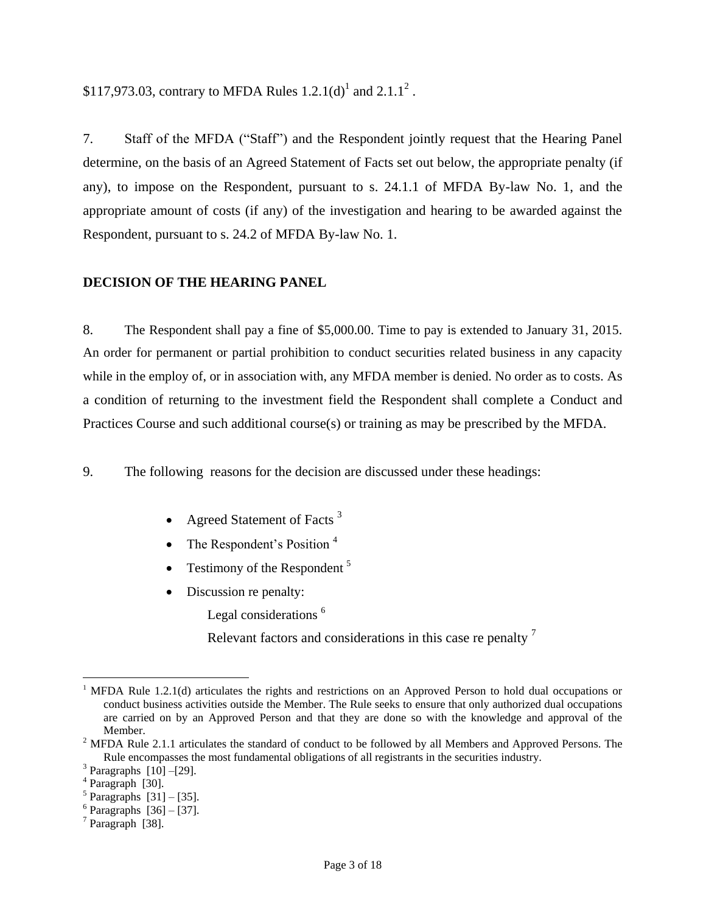7. Staff of the MFDA ("Staff") and the Respondent jointly request that the Hearing Panel determine, on the basis of an Agreed Statement of Facts set out below, the appropriate penalty (if any), to impose on the Respondent, pursuant to s. 24.1.1 of MFDA By-law No. 1, and the appropriate amount of costs (if any) of the investigation and hearing to be awarded against the Respondent, pursuant to s. 24.2 of MFDA By-law No. 1.

#### **DECISION OF THE HEARING PANEL**

8. The Respondent shall pay a fine of \$5,000.00. Time to pay is extended to January 31, 2015. An order for permanent or partial prohibition to conduct securities related business in any capacity while in the employ of, or in association with, any MFDA member is denied. No order as to costs. As a condition of returning to the investment field the Respondent shall complete a Conduct and Practices Course and such additional course(s) or training as may be prescribed by the MFDA.

9. The following reasons for the decision are discussed under these headings:

- Agreed Statement of Facts  $3$
- The Respondent's Position  $4$
- Testimony of the Respondent<sup>5</sup>
- Discussion re penalty:

Legal considerations<sup>6</sup>

Relevant factors and considerations in this case repenalty <sup>7</sup>

 $\overline{a}$ 

<sup>&</sup>lt;sup>1</sup> MFDA Rule 1.2.1(d) articulates the rights and restrictions on an Approved Person to hold dual occupations or conduct business activities outside the Member. The Rule seeks to ensure that only authorized dual occupations are carried on by an Approved Person and that they are done so with the knowledge and approval of the Member.

<sup>&</sup>lt;sup>2</sup> MFDA Rule 2.1.1 articulates the standard of conduct to be followed by all Members and Approved Persons. The Rule encompasses the most fundamental obligations of all registrants in the securities industry.

 $3$  Paragraphs  $[10]-[29]$ .

<sup>4</sup> Paragraph [30].

 $<sup>5</sup>$  Paragraphs  $[31] - [35]$ .</sup>

 $6$  Paragraphs [36] - [37].

<sup>&</sup>lt;sup>7</sup> Paragraph [38].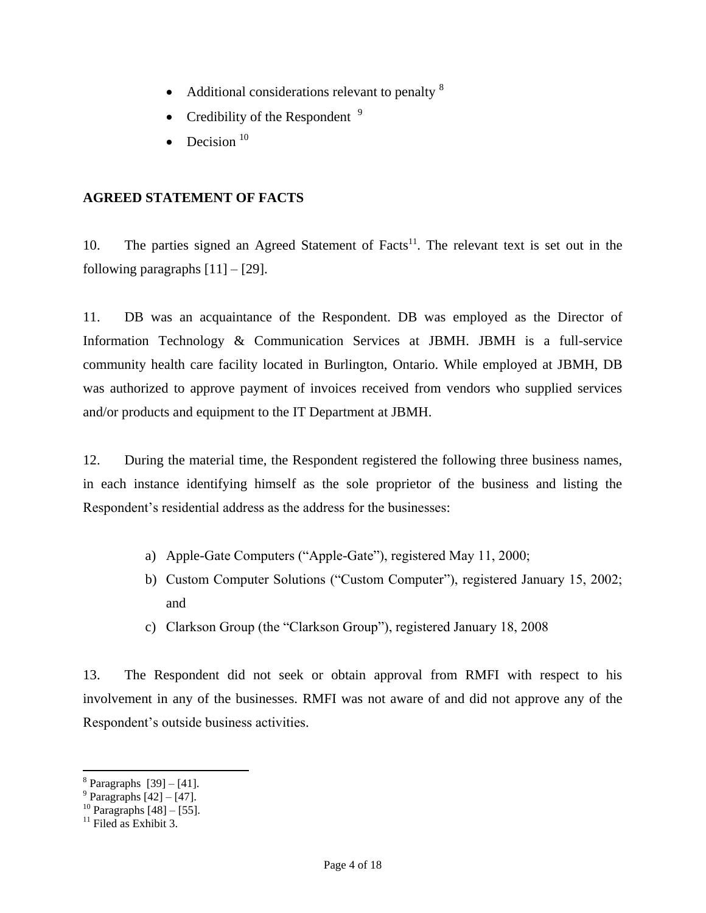- Additional considerations relevant to penalty  $8$
- Credibility of the Respondent  $9$
- Decision<sup>10</sup>

### **AGREED STATEMENT OF FACTS**

10. The parties signed an Agreed Statement of Facts<sup>11</sup>. The relevant text is set out in the following paragraphs  $[11] - [29]$ .

11. DB was an acquaintance of the Respondent. DB was employed as the Director of Information Technology & Communication Services at JBMH. JBMH is a full-service community health care facility located in Burlington, Ontario. While employed at JBMH, DB was authorized to approve payment of invoices received from vendors who supplied services and/or products and equipment to the IT Department at JBMH.

12. During the material time, the Respondent registered the following three business names, in each instance identifying himself as the sole proprietor of the business and listing the Respondent's residential address as the address for the businesses:

- a) Apple-Gate Computers ("Apple-Gate"), registered May 11, 2000;
- b) Custom Computer Solutions ("Custom Computer"), registered January 15, 2002; and
- c) Clarkson Group (the "Clarkson Group"), registered January 18, 2008

13. The Respondent did not seek or obtain approval from RMFI with respect to his involvement in any of the businesses. RMFI was not aware of and did not approve any of the Respondent's outside business activities.

<sup>&</sup>lt;sup>8</sup> Paragraphs [39] – [41].<br><sup>9</sup> Paragraphs [42] – [47].

 $^{10}$  Paragraphs  $[48] - [55]$ .

 $11$  Filed as Exhibit 3.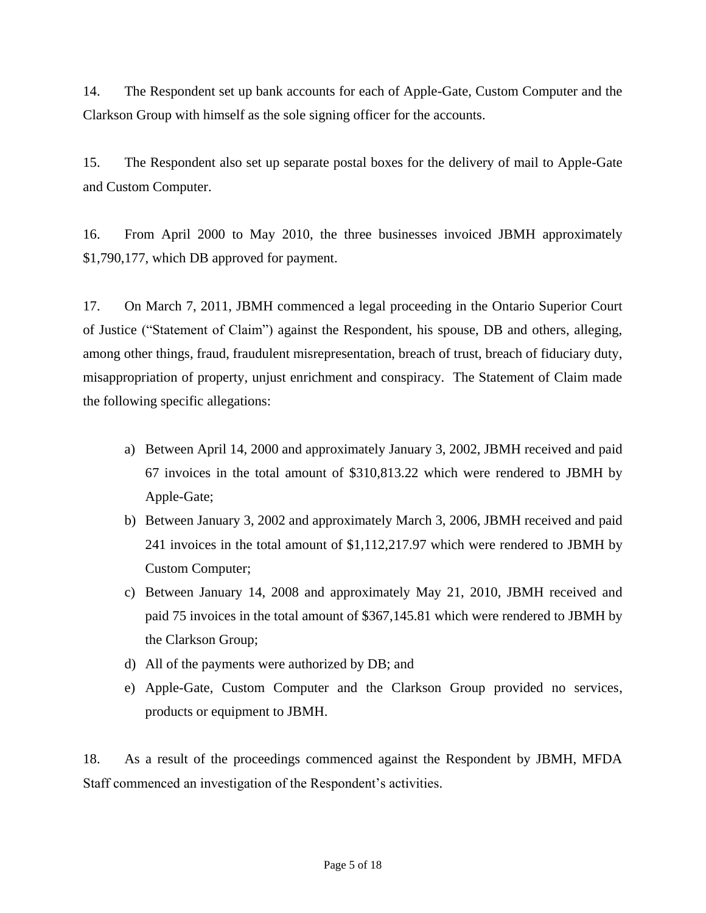14. The Respondent set up bank accounts for each of Apple-Gate, Custom Computer and the Clarkson Group with himself as the sole signing officer for the accounts.

15. The Respondent also set up separate postal boxes for the delivery of mail to Apple-Gate and Custom Computer.

16. From April 2000 to May 2010, the three businesses invoiced JBMH approximately \$1,790,177, which DB approved for payment.

17. On March 7, 2011, JBMH commenced a legal proceeding in the Ontario Superior Court of Justice ("Statement of Claim") against the Respondent, his spouse, DB and others, alleging, among other things, fraud, fraudulent misrepresentation, breach of trust, breach of fiduciary duty, misappropriation of property, unjust enrichment and conspiracy. The Statement of Claim made the following specific allegations:

- a) Between April 14, 2000 and approximately January 3, 2002, JBMH received and paid 67 invoices in the total amount of \$310,813.22 which were rendered to JBMH by Apple-Gate;
- b) Between January 3, 2002 and approximately March 3, 2006, JBMH received and paid 241 invoices in the total amount of \$1,112,217.97 which were rendered to JBMH by Custom Computer;
- c) Between January 14, 2008 and approximately May 21, 2010, JBMH received and paid 75 invoices in the total amount of \$367,145.81 which were rendered to JBMH by the Clarkson Group;
- d) All of the payments were authorized by DB; and
- e) Apple-Gate, Custom Computer and the Clarkson Group provided no services, products or equipment to JBMH.

18. As a result of the proceedings commenced against the Respondent by JBMH, MFDA Staff commenced an investigation of the Respondent's activities.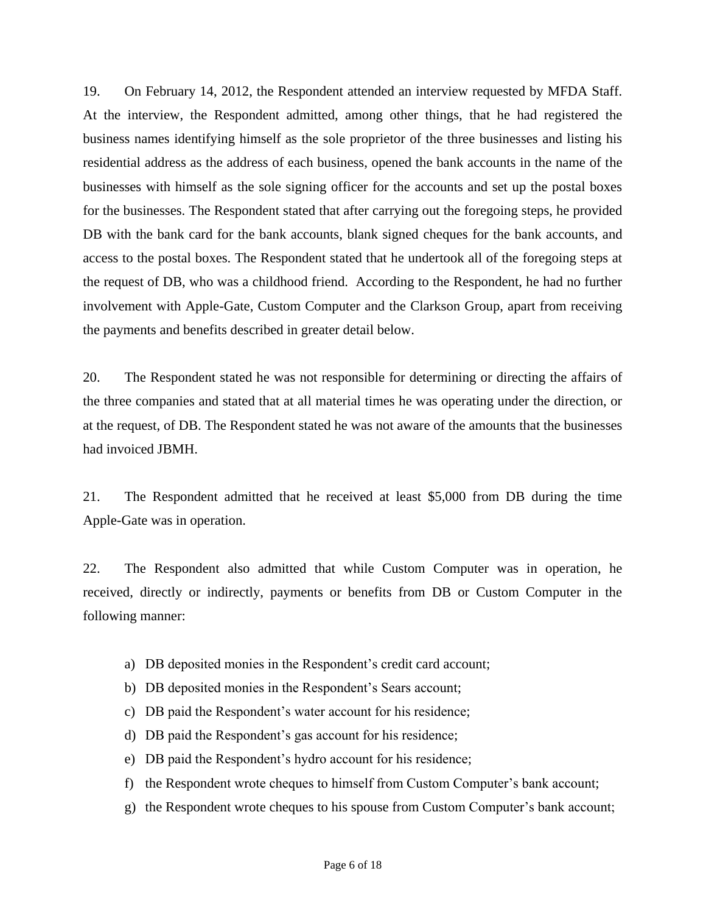19. On February 14, 2012, the Respondent attended an interview requested by MFDA Staff. At the interview, the Respondent admitted, among other things, that he had registered the business names identifying himself as the sole proprietor of the three businesses and listing his residential address as the address of each business, opened the bank accounts in the name of the businesses with himself as the sole signing officer for the accounts and set up the postal boxes for the businesses. The Respondent stated that after carrying out the foregoing steps, he provided DB with the bank card for the bank accounts, blank signed cheques for the bank accounts, and access to the postal boxes. The Respondent stated that he undertook all of the foregoing steps at the request of DB, who was a childhood friend. According to the Respondent, he had no further involvement with Apple-Gate, Custom Computer and the Clarkson Group, apart from receiving the payments and benefits described in greater detail below.

20. The Respondent stated he was not responsible for determining or directing the affairs of the three companies and stated that at all material times he was operating under the direction, or at the request, of DB. The Respondent stated he was not aware of the amounts that the businesses had invoiced JBMH.

21. The Respondent admitted that he received at least \$5,000 from DB during the time Apple-Gate was in operation.

22. The Respondent also admitted that while Custom Computer was in operation, he received, directly or indirectly, payments or benefits from DB or Custom Computer in the following manner:

- a) DB deposited monies in the Respondent's credit card account;
- b) DB deposited monies in the Respondent's Sears account;
- c) DB paid the Respondent's water account for his residence;
- d) DB paid the Respondent's gas account for his residence;
- e) DB paid the Respondent's hydro account for his residence;
- f) the Respondent wrote cheques to himself from Custom Computer's bank account;
- g) the Respondent wrote cheques to his spouse from Custom Computer's bank account;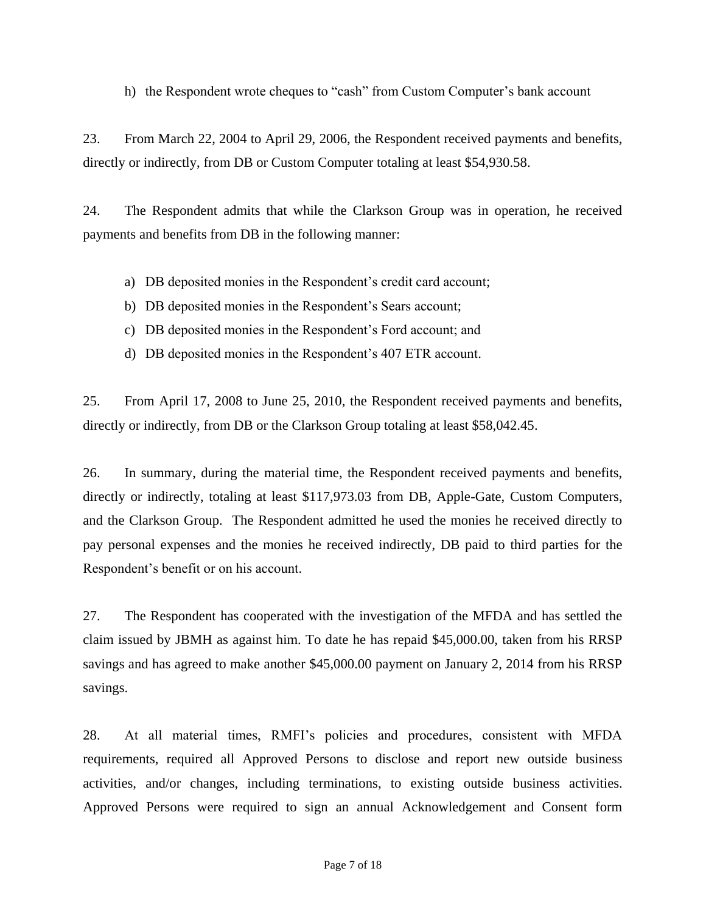h) the Respondent wrote cheques to "cash" from Custom Computer's bank account

23. From March 22, 2004 to April 29, 2006, the Respondent received payments and benefits, directly or indirectly, from DB or Custom Computer totaling at least \$54,930.58.

24. The Respondent admits that while the Clarkson Group was in operation, he received payments and benefits from DB in the following manner:

- a) DB deposited monies in the Respondent's credit card account;
- b) DB deposited monies in the Respondent's Sears account;
- c) DB deposited monies in the Respondent's Ford account; and
- d) DB deposited monies in the Respondent's 407 ETR account.

25. From April 17, 2008 to June 25, 2010, the Respondent received payments and benefits, directly or indirectly, from DB or the Clarkson Group totaling at least \$58,042.45.

26. In summary, during the material time, the Respondent received payments and benefits, directly or indirectly, totaling at least \$117,973.03 from DB, Apple-Gate, Custom Computers, and the Clarkson Group. The Respondent admitted he used the monies he received directly to pay personal expenses and the monies he received indirectly, DB paid to third parties for the Respondent's benefit or on his account.

27. The Respondent has cooperated with the investigation of the MFDA and has settled the claim issued by JBMH as against him. To date he has repaid \$45,000.00, taken from his RRSP savings and has agreed to make another \$45,000.00 payment on January 2, 2014 from his RRSP savings.

28. At all material times, RMFI's policies and procedures, consistent with MFDA requirements, required all Approved Persons to disclose and report new outside business activities, and/or changes, including terminations, to existing outside business activities. Approved Persons were required to sign an annual Acknowledgement and Consent form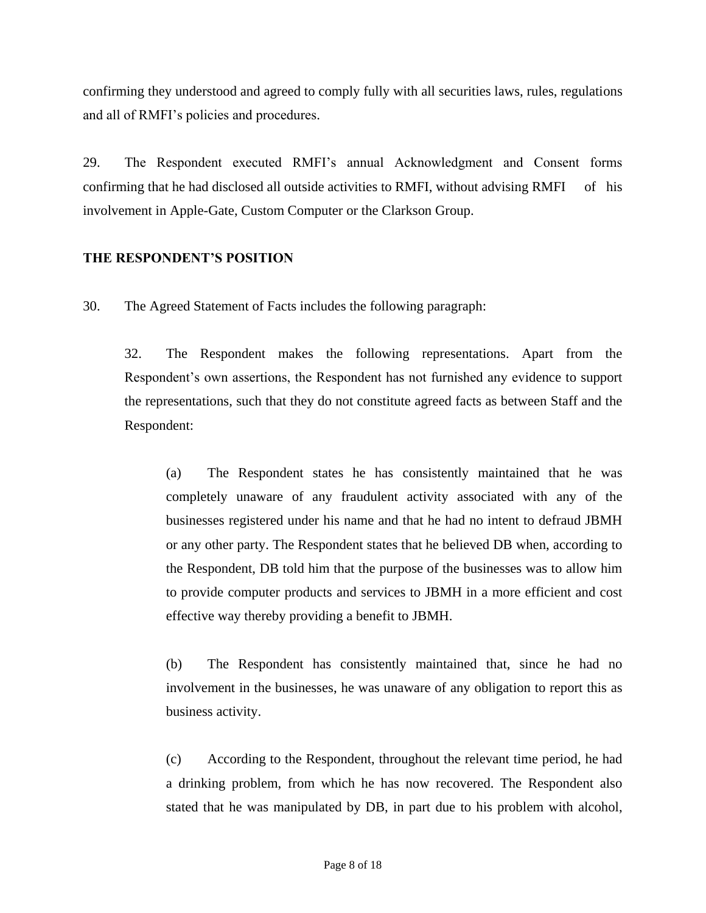confirming they understood and agreed to comply fully with all securities laws, rules, regulations and all of RMFI's policies and procedures.

29. The Respondent executed RMFI's annual Acknowledgment and Consent forms confirming that he had disclosed all outside activities to RMFI, without advising RMFI of his involvement in Apple-Gate, Custom Computer or the Clarkson Group.

# **THE RESPONDENT'S POSITION**

30. The Agreed Statement of Facts includes the following paragraph:

32. The Respondent makes the following representations. Apart from the Respondent's own assertions, the Respondent has not furnished any evidence to support the representations, such that they do not constitute agreed facts as between Staff and the Respondent:

(a) The Respondent states he has consistently maintained that he was completely unaware of any fraudulent activity associated with any of the businesses registered under his name and that he had no intent to defraud JBMH or any other party. The Respondent states that he believed DB when, according to the Respondent, DB told him that the purpose of the businesses was to allow him to provide computer products and services to JBMH in a more efficient and cost effective way thereby providing a benefit to JBMH.

(b) The Respondent has consistently maintained that, since he had no involvement in the businesses, he was unaware of any obligation to report this as business activity.

(c) According to the Respondent, throughout the relevant time period, he had a drinking problem, from which he has now recovered. The Respondent also stated that he was manipulated by DB, in part due to his problem with alcohol,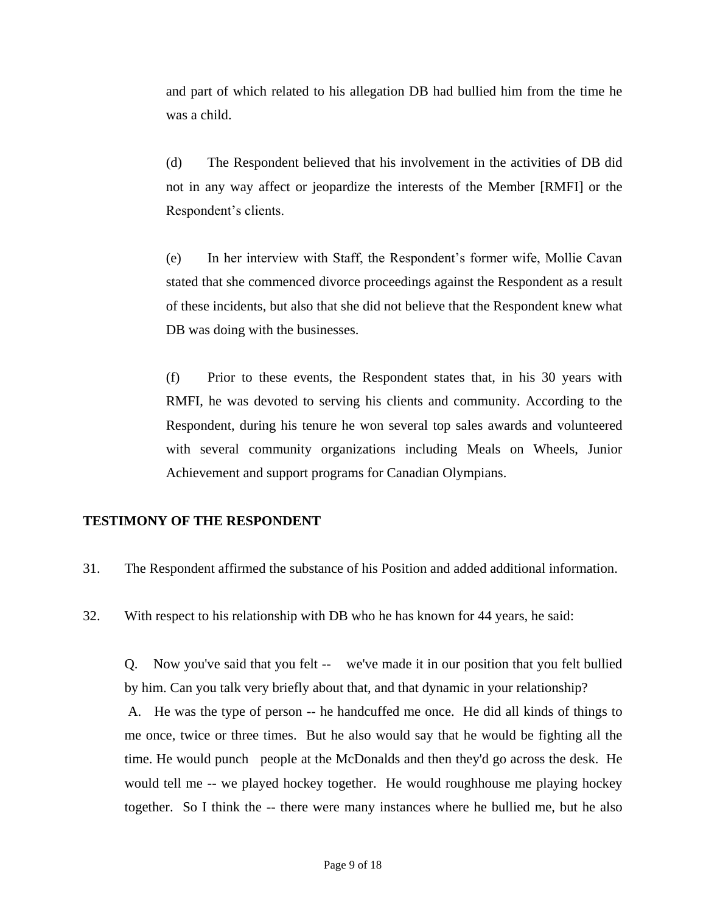and part of which related to his allegation DB had bullied him from the time he was a child.

(d) The Respondent believed that his involvement in the activities of DB did not in any way affect or jeopardize the interests of the Member [RMFI] or the Respondent's clients.

(e) In her interview with Staff, the Respondent's former wife, Mollie Cavan stated that she commenced divorce proceedings against the Respondent as a result of these incidents, but also that she did not believe that the Respondent knew what DB was doing with the businesses.

(f) Prior to these events, the Respondent states that, in his 30 years with RMFI, he was devoted to serving his clients and community. According to the Respondent, during his tenure he won several top sales awards and volunteered with several community organizations including Meals on Wheels, Junior Achievement and support programs for Canadian Olympians.

#### **TESTIMONY OF THE RESPONDENT**

31. The Respondent affirmed the substance of his Position and added additional information.

32. With respect to his relationship with DB who he has known for 44 years, he said:

Q. Now you've said that you felt -- we've made it in our position that you felt bullied by him. Can you talk very briefly about that, and that dynamic in your relationship? A. He was the type of person -- he handcuffed me once. He did all kinds of things to

me once, twice or three times. But he also would say that he would be fighting all the time. He would punch people at the McDonalds and then they'd go across the desk. He would tell me -- we played hockey together. He would roughhouse me playing hockey together. So I think the -- there were many instances where he bullied me, but he also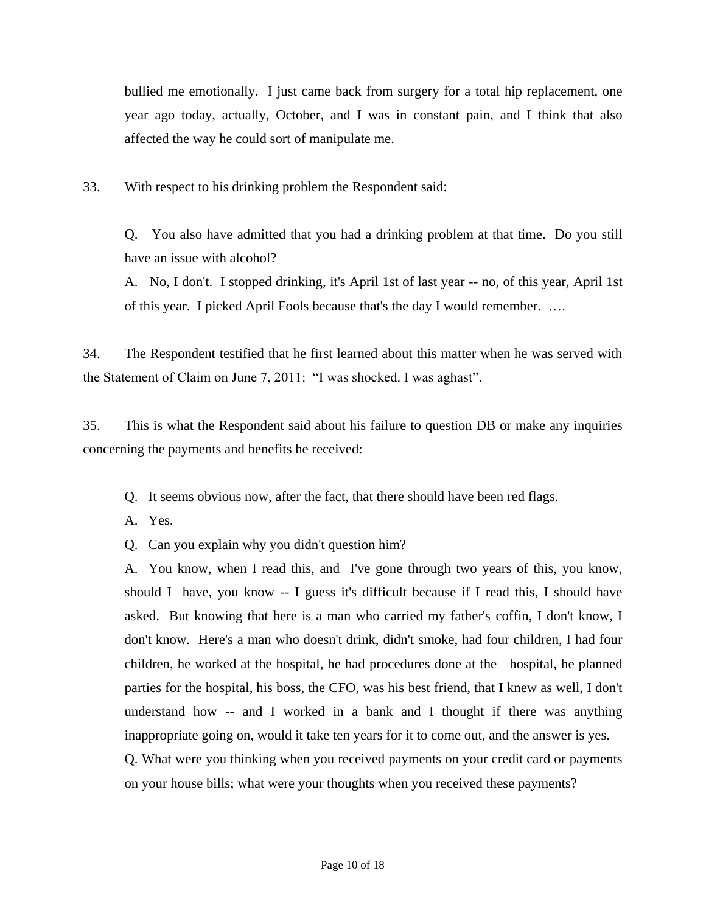bullied me emotionally. I just came back from surgery for a total hip replacement, one year ago today, actually, October, and I was in constant pain, and I think that also affected the way he could sort of manipulate me.

33. With respect to his drinking problem the Respondent said:

Q. You also have admitted that you had a drinking problem at that time. Do you still have an issue with alcohol?

A. No, I don't. I stopped drinking, it's April 1st of last year -- no, of this year, April 1st of this year. I picked April Fools because that's the day I would remember. ….

34. The Respondent testified that he first learned about this matter when he was served with the Statement of Claim on June 7, 2011: "I was shocked. I was aghast".

35. This is what the Respondent said about his failure to question DB or make any inquiries concerning the payments and benefits he received:

Q. It seems obvious now, after the fact, that there should have been red flags.

A. Yes.

Q. Can you explain why you didn't question him?

A. You know, when I read this, and I've gone through two years of this, you know, should I have, you know -- I guess it's difficult because if I read this, I should have asked. But knowing that here is a man who carried my father's coffin, I don't know, I don't know. Here's a man who doesn't drink, didn't smoke, had four children, I had four children, he worked at the hospital, he had procedures done at the hospital, he planned parties for the hospital, his boss, the CFO, was his best friend, that I knew as well, I don't understand how -- and I worked in a bank and I thought if there was anything inappropriate going on, would it take ten years for it to come out, and the answer is yes.

Q. What were you thinking when you received payments on your credit card or payments on your house bills; what were your thoughts when you received these payments?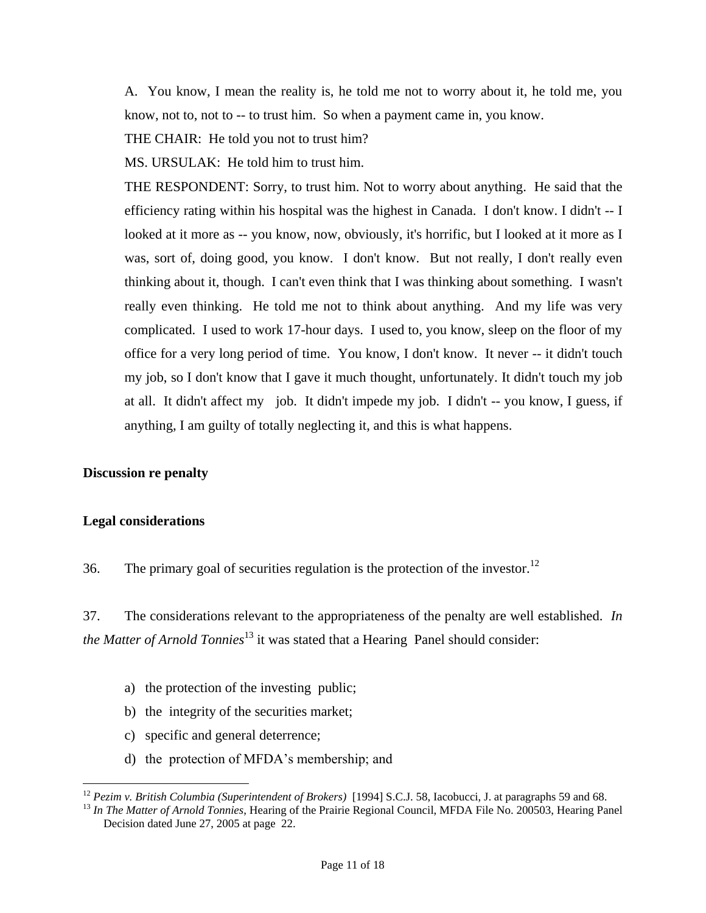A. You know, I mean the reality is, he told me not to worry about it, he told me, you know, not to, not to -- to trust him. So when a payment came in, you know.

THE CHAIR: He told you not to trust him?

MS. URSULAK: He told him to trust him.

THE RESPONDENT: Sorry, to trust him. Not to worry about anything. He said that the efficiency rating within his hospital was the highest in Canada. I don't know. I didn't -- I looked at it more as -- you know, now, obviously, it's horrific, but I looked at it more as I was, sort of, doing good, you know. I don't know. But not really, I don't really even thinking about it, though. I can't even think that I was thinking about something. I wasn't really even thinking. He told me not to think about anything. And my life was very complicated. I used to work 17-hour days. I used to, you know, sleep on the floor of my office for a very long period of time. You know, I don't know. It never -- it didn't touch my job, so I don't know that I gave it much thought, unfortunately. It didn't touch my job at all. It didn't affect my job. It didn't impede my job. I didn't -- you know, I guess, if anything, I am guilty of totally neglecting it, and this is what happens.

#### **Discussion re penalty**

#### **Legal considerations**

 $\overline{a}$ 

36. The primary goal of securities regulation is the protection of the investor.<sup>12</sup>

37. The considerations relevant to the appropriateness of the penalty are well established. *In the Matter of Arnold Tonnies*<sup>13</sup> it was stated that a Hearing Panel should consider:

- a) the protection of the investing public;
- b) the integrity of the securities market;
- c) specific and general deterrence;
- d) the protection of MFDA's membership; and

<sup>&</sup>lt;sup>12</sup> *Pezim v. British Columbia (Superintendent of Brokers)* [1994] S.C.J. 58, Iacobucci, J. at paragraphs 59 and 68.

<sup>13</sup> *In The Matter of Arnold Tonnies*, Hearing of the Prairie Regional Council, MFDA File No. 200503, Hearing Panel Decision dated June 27, 2005 at page 22.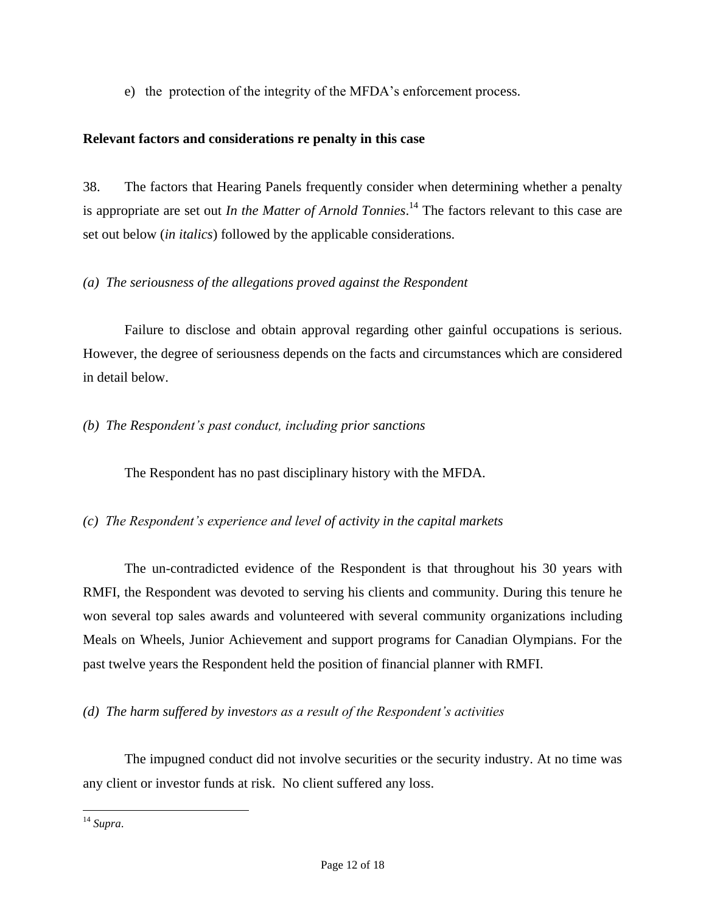e) the protection of the integrity of the MFDA's enforcement process.

#### **Relevant factors and considerations re penalty in this case**

38. The factors that Hearing Panels frequently consider when determining whether a penalty is appropriate are set out *In the Matter of Arnold Tonnies*. <sup>14</sup> The factors relevant to this case are set out below (*in italics*) followed by the applicable considerations.

#### *(a) The seriousness of the allegations proved against the Respondent*

Failure to disclose and obtain approval regarding other gainful occupations is serious. However, the degree of seriousness depends on the facts and circumstances which are considered in detail below.

#### *(b) The Respondent's past conduct, including prior sanctions*

The Respondent has no past disciplinary history with the MFDA.

# *(c) The Respondent's experience and level of activity in the capital markets*

The un-contradicted evidence of the Respondent is that throughout his 30 years with RMFI, the Respondent was devoted to serving his clients and community. During this tenure he won several top sales awards and volunteered with several community organizations including Meals on Wheels, Junior Achievement and support programs for Canadian Olympians. For the past twelve years the Respondent held the position of financial planner with RMFI.

# *(d) The harm suffered by investors as a result of the Respondent's activities*

The impugned conduct did not involve securities or the security industry. At no time was any client or investor funds at risk. No client suffered any loss.

 $\overline{a}$ <sup>14</sup> *Supra*.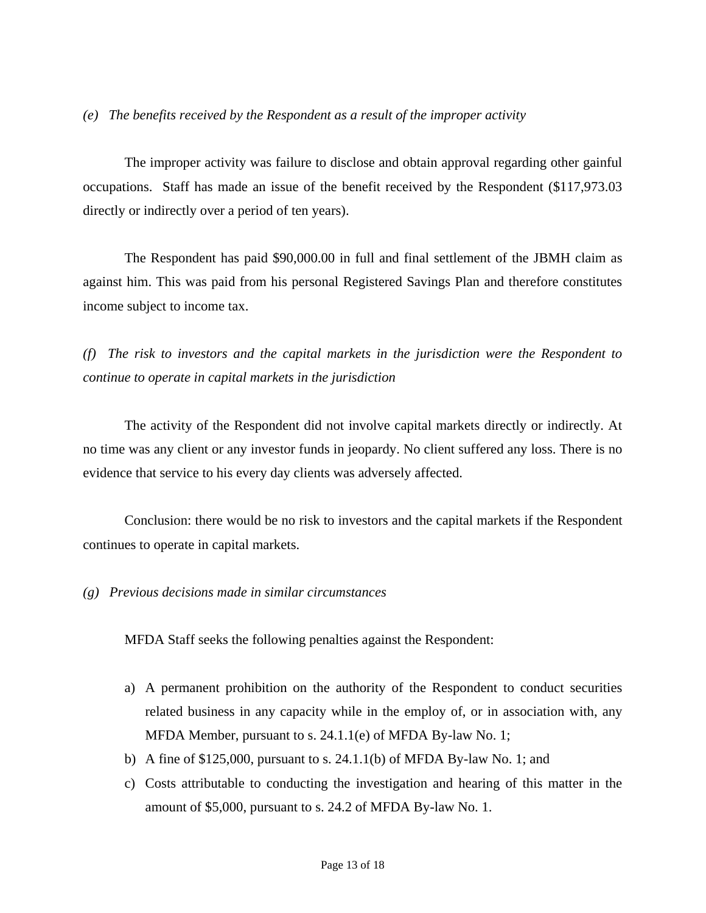#### *(e) The benefits received by the Respondent as a result of the improper activity*

The improper activity was failure to disclose and obtain approval regarding other gainful occupations. Staff has made an issue of the benefit received by the Respondent (\$117,973.03 directly or indirectly over a period of ten years).

The Respondent has paid \$90,000.00 in full and final settlement of the JBMH claim as against him. This was paid from his personal Registered Savings Plan and therefore constitutes income subject to income tax.

*(f) The risk to investors and the capital markets in the jurisdiction were the Respondent to continue to operate in capital markets in the jurisdiction*

The activity of the Respondent did not involve capital markets directly or indirectly. At no time was any client or any investor funds in jeopardy. No client suffered any loss. There is no evidence that service to his every day clients was adversely affected.

Conclusion: there would be no risk to investors and the capital markets if the Respondent continues to operate in capital markets.

#### *(g) Previous decisions made in similar circumstances*

MFDA Staff seeks the following penalties against the Respondent:

- a) A permanent prohibition on the authority of the Respondent to conduct securities related business in any capacity while in the employ of, or in association with, any MFDA Member, pursuant to s. 24.1.1(e) of MFDA By-law No. 1;
- b) A fine of \$125,000, pursuant to s. 24.1.1(b) of MFDA By-law No. 1; and
- c) Costs attributable to conducting the investigation and hearing of this matter in the amount of \$5,000, pursuant to s. 24.2 of MFDA By-law No. 1.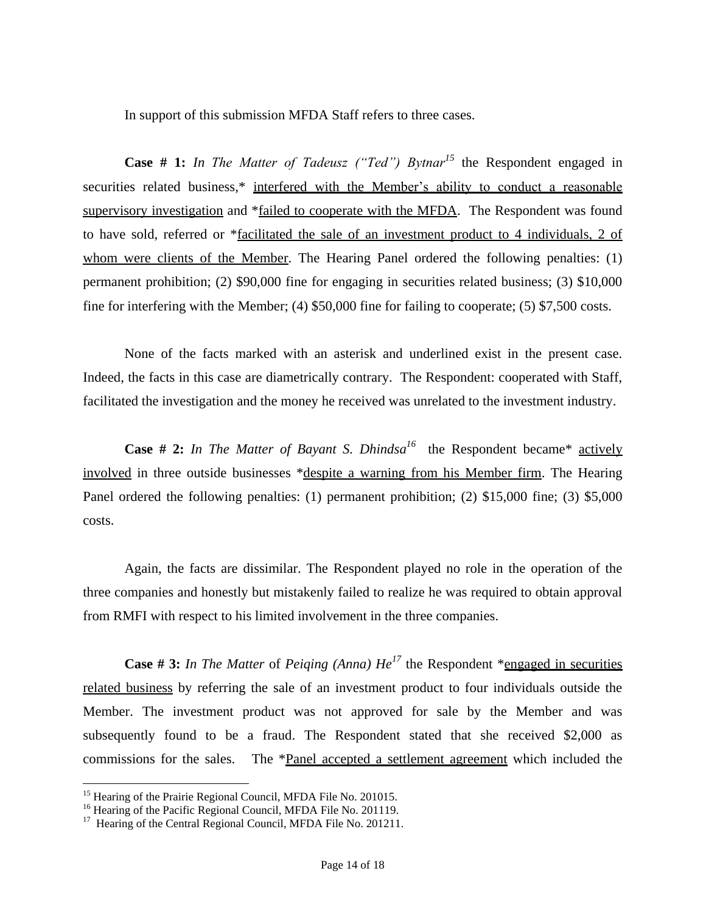In support of this submission MFDA Staff refers to three cases.

**Case # 1:** *In The Matter of Tadeusz ("Ted") Bytnar<sup>15</sup>* the Respondent engaged in securities related business,\* interfered with the Member's ability to conduct a reasonable supervisory investigation and \*failed to cooperate with the MFDA. The Respondent was found to have sold, referred or \*facilitated the sale of an investment product to 4 individuals, 2 of whom were clients of the Member. The Hearing Panel ordered the following penalties: (1) permanent prohibition; (2) \$90,000 fine for engaging in securities related business; (3) \$10,000 fine for interfering with the Member; (4) \$50,000 fine for failing to cooperate; (5) \$7,500 costs.

None of the facts marked with an asterisk and underlined exist in the present case. Indeed, the facts in this case are diametrically contrary. The Respondent: cooperated with Staff, facilitated the investigation and the money he received was unrelated to the investment industry.

**Case # 2:** *In The Matter of Bayant S. Dhindsa*<sup>16</sup> the Respondent became\* actively involved in three outside businesses \*despite a warning from his Member firm. The Hearing Panel ordered the following penalties: (1) permanent prohibition; (2) \$15,000 fine; (3) \$5,000 costs.

Again, the facts are dissimilar. The Respondent played no role in the operation of the three companies and honestly but mistakenly failed to realize he was required to obtain approval from RMFI with respect to his limited involvement in the three companies.

**Case # 3:** *In The Matter* of *Peiging (Anna)*  $He^{17}$  the Respondent \*engaged in securities related business by referring the sale of an investment product to four individuals outside the Member. The investment product was not approved for sale by the Member and was subsequently found to be a fraud. The Respondent stated that she received \$2,000 as commissions for the sales. The \*Panel accepted a settlement agreement which included the

 $\overline{a}$ 

<sup>&</sup>lt;sup>15</sup> Hearing of the Prairie Regional Council, MFDA File No. 201015.

<sup>&</sup>lt;sup>16</sup> Hearing of the Pacific Regional Council, MFDA File No. 201119.

<sup>&</sup>lt;sup>17</sup> Hearing of the Central Regional Council, MFDA File No. 201211.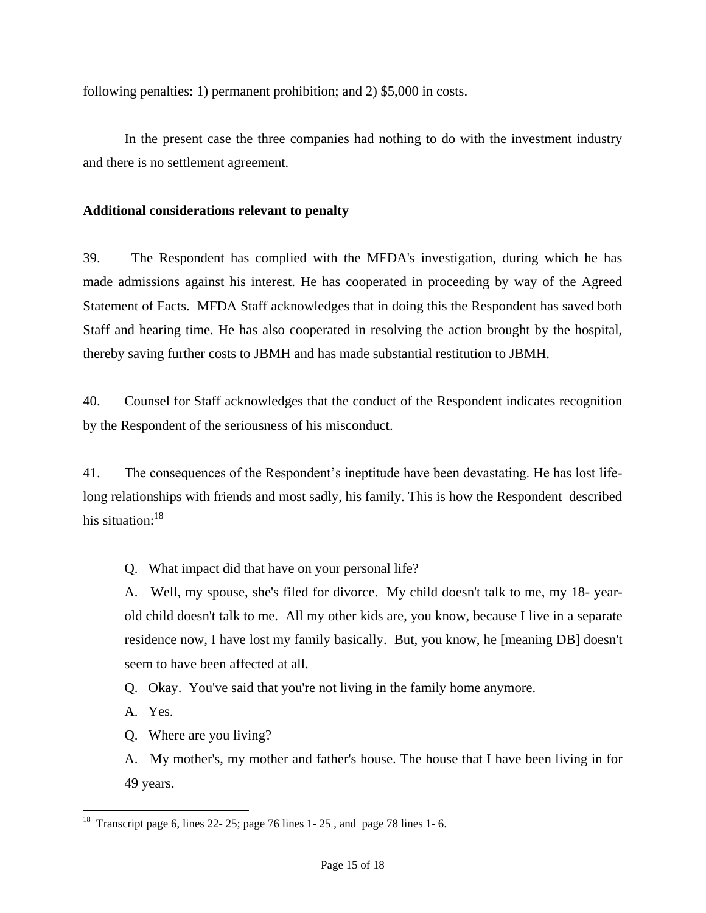following penalties: 1) permanent prohibition; and 2) \$5,000 in costs.

In the present case the three companies had nothing to do with the investment industry and there is no settlement agreement.

#### **Additional considerations relevant to penalty**

39. The Respondent has complied with the MFDA's investigation, during which he has made admissions against his interest. He has cooperated in proceeding by way of the Agreed Statement of Facts. MFDA Staff acknowledges that in doing this the Respondent has saved both Staff and hearing time. He has also cooperated in resolving the action brought by the hospital, thereby saving further costs to JBMH and has made substantial restitution to JBMH.

40. Counsel for Staff acknowledges that the conduct of the Respondent indicates recognition by the Respondent of the seriousness of his misconduct.

41. The consequences of the Respondent's ineptitude have been devastating. He has lost lifelong relationships with friends and most sadly, his family. This is how the Respondent described his situation: $18$ 

Q. What impact did that have on your personal life?

A. Well, my spouse, she's filed for divorce. My child doesn't talk to me, my 18- yearold child doesn't talk to me. All my other kids are, you know, because I live in a separate residence now, I have lost my family basically. But, you know, he [meaning DB] doesn't seem to have been affected at all.

Q. Okay. You've said that you're not living in the family home anymore.

A. Yes.

Q. Where are you living?

A. My mother's, my mother and father's house. The house that I have been living in for 49 years.

 $\overline{a}$ <sup>18</sup> Transcript page 6, lines 22- 25; page 76 lines 1- 25, and page 78 lines 1- 6.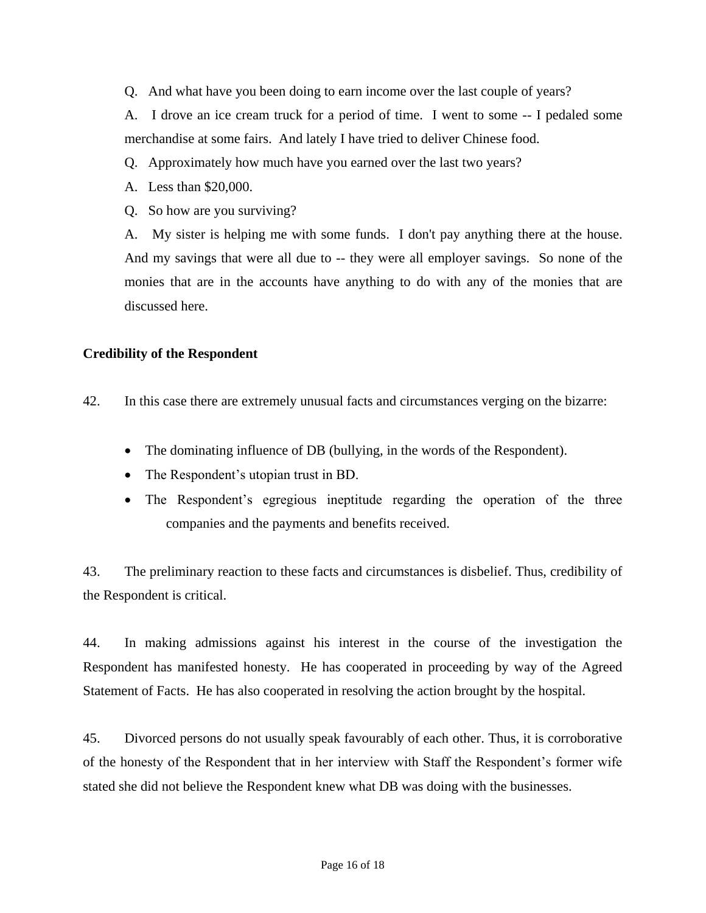Q. And what have you been doing to earn income over the last couple of years?

A. I drove an ice cream truck for a period of time. I went to some -- I pedaled some merchandise at some fairs. And lately I have tried to deliver Chinese food.

- Q. Approximately how much have you earned over the last two years?
- A. Less than \$20,000.
- Q. So how are you surviving?

A. My sister is helping me with some funds. I don't pay anything there at the house. And my savings that were all due to -- they were all employer savings. So none of the monies that are in the accounts have anything to do with any of the monies that are discussed here.

#### **Credibility of the Respondent**

42. In this case there are extremely unusual facts and circumstances verging on the bizarre:

- The dominating influence of DB (bullying, in the words of the Respondent).
- The Respondent's utopian trust in BD.
- The Respondent's egregious ineptitude regarding the operation of the three companies and the payments and benefits received.

43. The preliminary reaction to these facts and circumstances is disbelief. Thus, credibility of the Respondent is critical.

44. In making admissions against his interest in the course of the investigation the Respondent has manifested honesty. He has cooperated in proceeding by way of the Agreed Statement of Facts. He has also cooperated in resolving the action brought by the hospital.

45. Divorced persons do not usually speak favourably of each other. Thus, it is corroborative of the honesty of the Respondent that in her interview with Staff the Respondent's former wife stated she did not believe the Respondent knew what DB was doing with the businesses.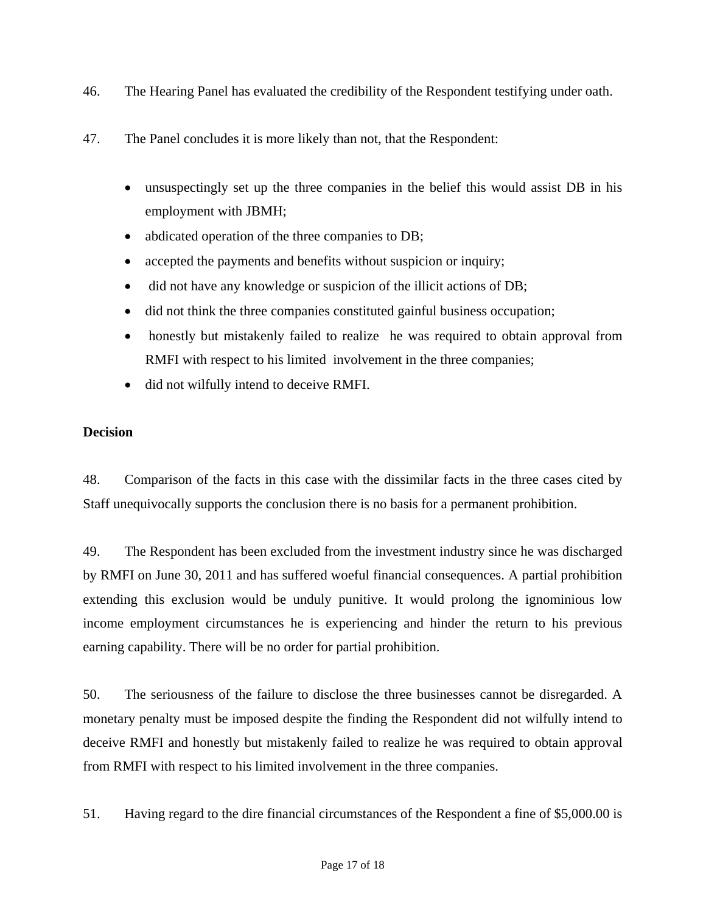- 46. The Hearing Panel has evaluated the credibility of the Respondent testifying under oath.
- 47. The Panel concludes it is more likely than not, that the Respondent:
	- unsuspectingly set up the three companies in the belief this would assist DB in his employment with JBMH;
	- abdicated operation of the three companies to DB;
	- accepted the payments and benefits without suspicion or inquiry;
	- did not have any knowledge or suspicion of the illicit actions of DB;
	- did not think the three companies constituted gainful business occupation;
	- honestly but mistakenly failed to realize he was required to obtain approval from RMFI with respect to his limited involvement in the three companies;
	- did not wilfully intend to deceive RMFI.

# **Decision**

48. Comparison of the facts in this case with the dissimilar facts in the three cases cited by Staff unequivocally supports the conclusion there is no basis for a permanent prohibition.

49. The Respondent has been excluded from the investment industry since he was discharged by RMFI on June 30, 2011 and has suffered woeful financial consequences. A partial prohibition extending this exclusion would be unduly punitive. It would prolong the ignominious low income employment circumstances he is experiencing and hinder the return to his previous earning capability. There will be no order for partial prohibition.

50. The seriousness of the failure to disclose the three businesses cannot be disregarded. A monetary penalty must be imposed despite the finding the Respondent did not wilfully intend to deceive RMFI and honestly but mistakenly failed to realize he was required to obtain approval from RMFI with respect to his limited involvement in the three companies.

51. Having regard to the dire financial circumstances of the Respondent a fine of \$5,000.00 is